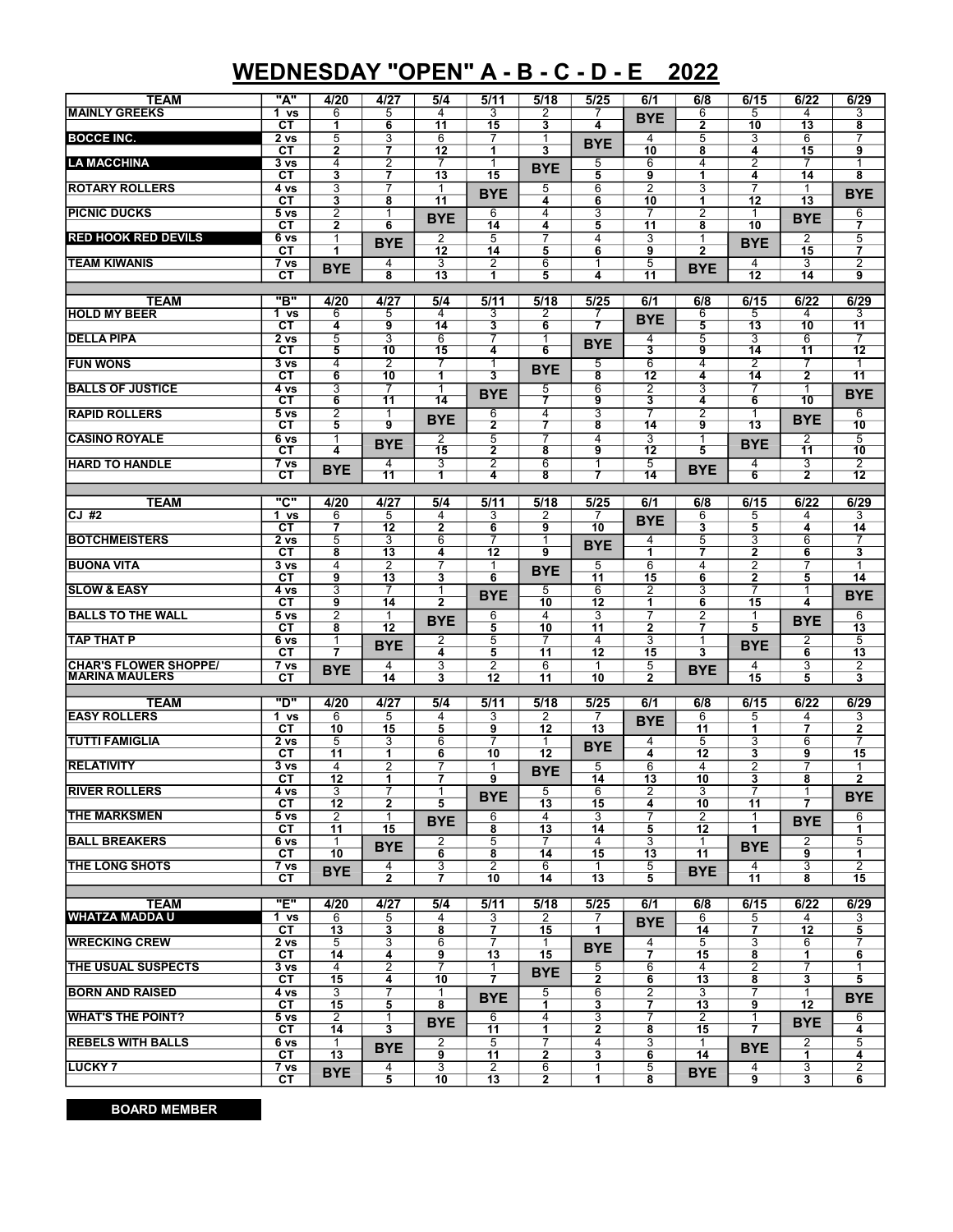## WEDNESDAY "OPEN" A - B - C - D - E 2022

| <b>TEAM</b>                  | "A"                            | 4/20            | 4/27                 | 5/4            | 5/11                    | 5/18            | 5/25                    | 6/1             | 6/8                     | 6/15                | 6/22                    | 6/29                    |
|------------------------------|--------------------------------|-----------------|----------------------|----------------|-------------------------|-----------------|-------------------------|-----------------|-------------------------|---------------------|-------------------------|-------------------------|
| <b>MAINLY GREEKS</b>         | 1 <sub>vs</sub>                | 6               | 5                    | $\overline{4}$ | 3                       | 2               | 7                       | <b>BYE</b>      | 6                       | 5                   | 4                       | 3                       |
|                              | СT                             | 1               | 6                    | 11             | 15                      | 3               | 4                       |                 | $\overline{2}$          | 10                  | 13                      | 8                       |
| <b>BOCCE INC.</b>            | 2 vs                           | $\overline{5}$  | $\overline{3}$       | 6              | 7                       | 1               | <b>BYE</b>              | 4               | 5                       | 3                   | $\overline{6}$          | 7                       |
|                              | $c_{T}$                        | $\overline{2}$  | 7                    | 12             | 1                       | 3               |                         | 10              | $\overline{\mathbf{8}}$ | 4                   | 15                      | $\overline{9}$          |
| <b>LA MACCHINA</b>           | 3 vs                           | 4               | $\overline{2}$       |                | 1                       | <b>BYE</b>      | 5                       | 6               | 4                       | 2                   | 7                       | 1                       |
|                              | CТ                             | 3               | $\overline{7}$       | 13             | 15                      |                 | 5                       | 9               | $\overline{1}$          | 4                   | 14                      | 8                       |
| <b>ROTARY ROLLERS</b>        | 4 vs                           | $\overline{3}$  | 7                    | 1              | <b>BYE</b>              | 5               | 6                       | $\overline{2}$  | 3                       | $\overline{7}$      | $\mathbf{1}$            | <b>BYE</b>              |
|                              | CТ                             | 3               | 8                    | 11             |                         | 4               | 6                       | 10              | 1                       | 12                  | 13                      |                         |
| <b>PICNIC DUCKS</b>          | 5 <sub>vs</sub>                | $\overline{2}$  | $\overline{1}$       | <b>BYE</b>     | 6                       | $\overline{4}$  | 3                       | $\overline{7}$  | $\overline{2}$          | 1                   | <b>BYE</b>              | 6                       |
|                              | <b>CT</b>                      | $\mathbf{2}$    | 6                    |                | 14                      | 4               | 5                       | 11              | 8                       | 10                  |                         | $\overline{7}$          |
| <b>RED HOOK RED DEVILS</b>   | 6 vs                           | 1               | <b>BYE</b>           | 2              | 5                       | 7               | 4                       | 3               | 1                       | <b>BYE</b>          | $\overline{2}$          | 5                       |
|                              | СT                             | 1               |                      | 12             | 14                      | 5               | 6                       | 9               | $\overline{2}$          |                     | 15                      | $\overline{\mathbf{r}}$ |
| <b>TEAM KIWANIS</b>          | 7 vs                           | <b>BYE</b>      | 4                    | 3              | 2                       | 6               | $\mathbf{1}$            | 5               | <b>BYE</b>              | 4                   | 3                       | $\overline{2}$          |
|                              | CТ                             |                 | 8                    | 13             | 1                       | 5               | 4                       | 11              |                         | 12                  | 14                      | 9                       |
|                              |                                |                 |                      |                |                         |                 |                         |                 |                         |                     |                         |                         |
| <b>TEAM</b>                  | "в"                            | 4/20            | 4/27                 | 5/4            | 5/11                    | 5/18            | 5/25                    | 6/1             | 6/8                     | 6/15                | 6/22                    | 6/29                    |
| <b>HOLD MY BEER</b>          | 1 <sub>vs</sub>                | 6               | 5                    | $\overline{4}$ | 3                       | 2               | 7                       | <b>BYE</b>      | 6                       | 5                   | 4                       | 3                       |
|                              | СT                             | 4               | 9                    | 14             | 3                       | 6               | 7                       |                 | 5                       | $\overline{13}$     | 10                      | 11                      |
| <b>DELLA PIPA</b>            | 2 <sub>vs</sub>                | 5               | 3                    | 6              | 7                       | 1               | <b>BYE</b>              | $\overline{4}$  | 5                       | 3                   | 6                       | 7                       |
|                              | CТ                             | 5               | 10                   | 15             | 4                       | 6               |                         | 3               | 9                       | 14                  | 11                      | 12                      |
| <b>FUN WONS</b>              | 3 <sub>vs</sub>                | 4               | 2                    |                | 1                       |                 | 5                       | 6               | $\overline{4}$          | 2                   |                         | 1                       |
|                              | СT                             | 6               | 10                   | 1              | 3                       | <b>BYE</b>      | $\overline{\mathbf{8}}$ | 12              | 4                       | 14                  | $\overline{2}$          | 11                      |
| <b>BALLS OF JUSTICE</b>      | 4 vs                           | 3               | 7                    | 1              |                         | 5               | 6                       | $\overline{2}$  | 3                       | 7                   | 1                       |                         |
|                              | $\overline{\text{c}}$ T        | 6               | 11                   | 14             | <b>BYE</b>              |                 | 9                       | 3               | 4                       | 6                   | 10                      | <b>BYE</b>              |
| <b>RAPID ROLLERS</b>         | $5\,\mathrm{vs}$               | $\overline{2}$  | 1                    |                | $\overline{6}$          | $\overline{4}$  | 3                       | 7               | 7                       | 1                   |                         | $\overline{6}$          |
|                              | $\overline{\text{c}}$ T        | 5               | 9                    | <b>BYE</b>     | $\overline{2}$          | 7               | $\overline{\mathbf{8}}$ | 14              | 9                       | 13                  | <b>BYE</b>              | 10                      |
| <b>CASINO ROYALE</b>         | 6 <sub>vs</sub>                |                 |                      | $\overline{2}$ | 5                       |                 | 4                       | 3               | 1                       |                     | $\overline{2}$          | $\overline{5}$          |
|                              | $\overline{\text{c} \text{t}}$ | 4               | <b>BYE</b>           | 15             | $\overline{\mathbf{2}}$ | 8               | 9                       | $\overline{12}$ | 5                       | <b>BYE</b>          | 11                      | 10                      |
| <b>HARD TO HANDLE</b>        | 7 <sub>vs</sub>                |                 | $\overline{4}$       | 3              | $\overline{2}$          | $6\overline{6}$ | 1                       | $\overline{5}$  |                         | 4                   | 3                       | $\overline{2}$          |
|                              | $\overline{\text{c}}$          | <b>BYE</b>      | $\overline{11}$      | 1              | 4                       | 8               | 7                       | $\overline{14}$ | <b>BYE</b>              | 6                   | $\overline{2}$          | $\overline{12}$         |
|                              |                                |                 |                      |                |                         |                 |                         |                 |                         |                     |                         |                         |
| <b>TEAM</b>                  | <u>"ር"</u>                     | 4/20            | 4/27                 | 5/4            | 5/11                    | 5/18            | 5/25                    | 6/1             | 6/8                     | 6/15                | 6/22                    | 6/29                    |
| CJ#2                         | 1 vs                           | 6               | 5                    | 4              | 3                       | $\overline{2}$  | 7                       |                 | 6                       | 5                   | 4                       | 3                       |
|                              | CТ                             | 7               | 12                   | $\mathbf{2}$   | 6                       | 9               | 10                      | <b>BYE</b>      | 3                       | 5                   | 4                       | 14                      |
| <b>BOTCHMEISTERS</b>         | 2 <sub>vs</sub>                | 5               | 3                    | $\overline{6}$ | 7                       | 1               |                         | 4               | 5                       | 3                   | $\overline{6}$          | 7                       |
|                              |                                |                 |                      |                |                         | 9               | <b>BYE</b>              | 1               |                         |                     |                         |                         |
| <b>BUONA VITA</b>            | CТ                             | 8<br>4          | 13                   | 4<br>7         | 12                      |                 |                         |                 | $\overline{7}$          | $\mathbf{2}$        | 6                       | 3                       |
|                              | 3 <sub>vs</sub><br>$c_{T}$     | 9               | 2<br>$\overline{13}$ |                | 1<br>$\overline{6}$     | <b>BYE</b>      | 5                       | 6<br>15         | 4                       | 2<br>$\overline{2}$ | 7                       | 1<br>14                 |
|                              | 4 vs                           |                 | 7                    | 3              |                         | 5               | $\overline{11}$         |                 | 6<br>3                  | 7                   | 5                       |                         |
|                              |                                |                 |                      |                |                         |                 |                         |                 |                         |                     |                         |                         |
| <b>SLOW &amp; EASY</b>       |                                | $\overline{3}$  |                      | $\mathbf 1$    | <b>BYE</b>              |                 | 6                       | 2               |                         |                     | 1                       | <b>BYE</b>              |
|                              | CТ                             | 9               | 14                   | $\mathbf{2}$   |                         | 10              | 12                      | 1               | 6                       | 15                  | 4                       |                         |
| <b>BALLS TO THE WALL</b>     | 5 vs                           | $\overline{2}$  | $\mathbf{1}$         |                | 6                       | $\overline{4}$  | $\overline{3}$          | 7               | $\overline{2}$          | 1                   |                         | 6                       |
|                              | СT                             | 8               | 12                   | <b>BYE</b>     | $\overline{5}$          | 10              | 11                      | $\mathbf{2}$    | $\overline{7}$          | 5                   | <b>BYE</b>              | 13                      |
| <b>TAP THAT P</b>            | 6 vs                           | 1               |                      | $\overline{2}$ | 5                       | 7               | $\overline{4}$          | 3               | 1                       |                     | 2                       | 5                       |
|                              | <b>CT</b>                      | 7               | <b>BYE</b>           | 4              | 5                       | 11              | $\overline{12}$         | 15              | 3                       | <b>BYE</b>          | 6                       | $\overline{13}$         |
| <b>CHAR'S FLOWER SHOPPE/</b> | 7 <sub>vs</sub>                |                 | 4                    | 3              | $\overline{2}$          | 6               | 1                       | 5               |                         | 4                   | 3                       | $\overline{2}$          |
| <b>MARINA MAULERS</b>        | CТ                             | <b>BYE</b>      | 14                   | 3              | 12                      | 11              | 10                      | $\mathbf{2}$    | <b>BYE</b>              | 15                  | 5                       | 3                       |
|                              |                                |                 |                      |                |                         |                 |                         |                 |                         |                     |                         |                         |
| TEAM                         | "ס"                            | 4/20            | 4/27                 | 5/4            | 5/11                    | 5/18            | 5/25                    | 6/1             | 6/8                     | 6/15                | 6/22                    | 6/29                    |
| <b>EASY ROLLERS</b>          | 1 vs                           | 6               | 5                    | $\overline{4}$ | 3                       | $\overline{2}$  | 7                       |                 | 6                       | 5                   | 4                       | 3                       |
|                              | CТ                             | 10              | 15                   | 5              | 9                       | 12              | 13                      | <b>BYE</b>      | 11                      | 1                   | $\overline{\mathbf{z}}$ | $\overline{2}$          |
| <b>TUTTI FAMIGLIA</b>        | 2 vs                           | $\overline{5}$  | 3                    | 6              | 7                       | 1               |                         | 4               | 5                       | 3                   | 6                       | 7                       |
|                              | СT                             | 11              | 1                    | 6              | 10                      | 12              | <b>BYE</b>              | 4               | 12                      | 3                   | 9                       | 15                      |
| <b>RELATIVITY</b>            | 3 vs                           | $\overline{4}$  | $\overline{2}$       | 7              | 1                       |                 | 5                       | 6               | 4                       | 2                   | 7                       | 1                       |
|                              | СT                             | 12              | 1                    | $\overline{7}$ | 9                       | <b>BYE</b>      | 14                      | 13              | 10                      | 3                   | 8                       | $\overline{2}$          |
| <b>RIVER ROLLERS</b>         | 4 vs                           | 3               | 7                    | 1              |                         | 5               | 6                       | 2               | 3                       | 7                   | 1                       |                         |
|                              | CТ                             | 12              | $\mathbf{2}$         | 5              | <b>BYE</b>              | 13              | 15                      | 4               | 10                      | 11                  | 7                       | <b>BYE</b>              |
| <b>THE MARKSMEN</b>          | 5 vs                           | 2               | 1                    |                | 6                       | 4               | 3                       |                 | 2                       | 1                   |                         | 6                       |
|                              | CТ                             | 11              | $\overline{15}$      | <b>BYE</b>     | 8                       | 13              | 14                      | 5               | 12                      | $\mathbf{1}$        | <b>BYE</b>              | 1                       |
| <b>BALL BREAKERS</b>         | 6 vs                           | 1               |                      | 2              | 5                       | 7               | 4                       | 3               | $\mathbf{1}$            |                     | $\overline{2}$          | 5                       |
|                              | CТ                             | 10              | <b>BYE</b>           | 6              | 8                       | 14              | 15                      | 13              | 11                      | <b>BYE</b>          | 9                       | 1                       |
| THE LONG SHOTS               | $\overline{7}$ vs              |                 | 4                    | 3              | $\overline{2}$          | 6               | 1                       | 5               |                         | 4                   | 3                       | $\overline{2}$          |
|                              | CТ                             | <b>BYE</b>      | $\mathbf{2}$         | $\overline{7}$ | 10                      | 14              | 13                      | 5               | <b>BYE</b>              | 11                  | 8                       | 15                      |
|                              |                                |                 |                      |                |                         |                 |                         |                 |                         |                     |                         |                         |
| TEAM                         | "E"                            | 4/20            | 4/27                 | 5/4            | 5/11                    | 5/18            | 5/25                    | 6/1             | 6/8                     | 6/15                | 6/22                    | 6/29                    |
| <b>WHATZA MADDA U</b>        | 1 vs                           | 6               | 5                    | 4              | 3                       | 2               | 7                       |                 | 6                       | 5                   | 4                       | 3                       |
|                              | CТ                             | 13              | 3                    | 8              | 7                       | 15              | 1                       | <b>BYE</b>      | 14                      | 7                   | 12                      | 5                       |
| <b>WRECKING CREW</b>         | 2 <sub>vs</sub>                | 5               | 3                    | 6              | 7                       | 1               |                         | 4               | 5                       | 3                   | 6                       |                         |
|                              | CТ                             | 14              | 4                    | 9              | 13                      | 15              | <b>BYE</b>              | $\overline{7}$  | 15                      | 8                   | 1                       | 6                       |
| THE USUAL SUSPECTS           | 3 vs                           | 4               | $\overline{2}$       | 7              | 1                       |                 | 5                       | 6               | 4                       | 2                   | 7                       | $\mathbf 1$             |
|                              | CТ                             | 15              | 4                    | 10             | 7                       | <b>BYE</b>      | $\mathbf{2}$            | 6               | 13                      | 8                   | 3                       | 5                       |
| <b>BORN AND RAISED</b>       | 4 vs                           | 3               | 7                    | 1              |                         | 5               | 6                       | 2               | 3                       | 7                   | $\mathbf{1}$            |                         |
|                              | СT                             | 15              | 5                    | 8              | <b>BYE</b>              | 1.              | 3                       | $\overline{7}$  | 13                      | 9                   | 12                      | <b>BYE</b>              |
| <b>WHAT'S THE POINT?</b>     | 5 vs                           | 2               | 1                    |                | 6                       | 4               | 3                       | 7               | 2                       | 1                   |                         | 6                       |
|                              | CТ                             | 14              | 3                    | <b>BYE</b>     | $\overline{11}$         | 1               | 2                       | 8               | 15                      | 7                   | <b>BYE</b>              | 4                       |
| <b>REBELS WITH BALLS</b>     |                                | 1               |                      | 2              | $\overline{5}$          | 7               | 4                       | 3               | 1                       |                     |                         |                         |
|                              | 6 vs<br>CТ                     | $\overline{13}$ | <b>BYE</b>           | 9              | 11                      | 2               | 3                       | 6               | 14                      | <b>BYE</b>          | 2<br>1                  | 5<br>4                  |
| <b>LUCKY 7</b>               | 7 vs                           | <b>BYE</b>      | 4                    | 3              | $\overline{2}$          | 6               | 1                       | 5               | <b>BYE</b>              | 4                   | 3                       | $\overline{2}$          |

BOARD MEMBER